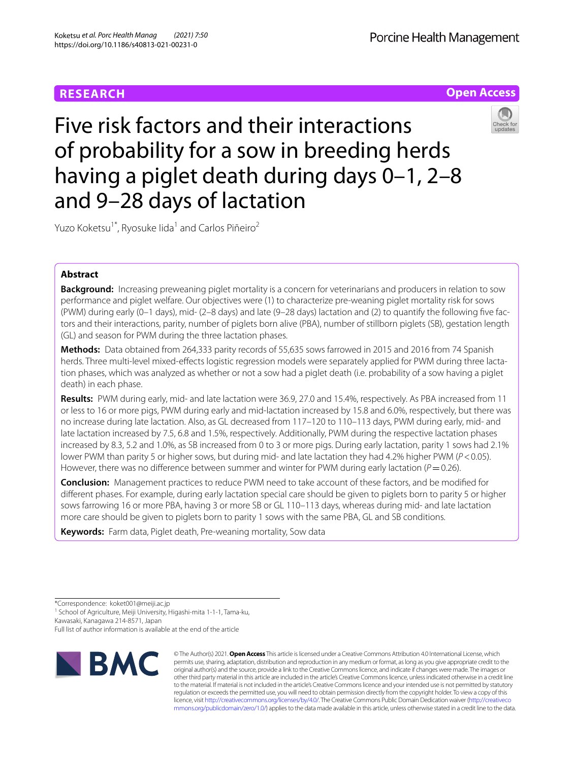# **Open Access**

# Five risk factors and their interactions of probability for a sow in breeding herds having a piglet death during days 0–1, 2–8 and 9–28 days of lactation



Yuzo Koketsu<sup>1\*</sup>, Ryosuke Iida<sup>1</sup> and Carlos Piñeiro<sup>2</sup>

# **Abstract**

**Background:** Increasing preweaning piglet mortality is a concern for veterinarians and producers in relation to sow performance and piglet welfare. Our objectives were (1) to characterize pre-weaning piglet mortality risk for sows (PWM) during early (0–1 days), mid- (2–8 days) and late (9–28 days) lactation and (2) to quantify the following fve factors and their interactions, parity, number of piglets born alive (PBA), number of stillborn piglets (SB), gestation length (GL) and season for PWM during the three lactation phases.

**Methods:** Data obtained from 264,333 parity records of 55,635 sows farrowed in 2015 and 2016 from 74 Spanish herds. Three multi-level mixed-efects logistic regression models were separately applied for PWM during three lactation phases, which was analyzed as whether or not a sow had a piglet death (i.e. probability of a sow having a piglet death) in each phase.

**Results:** PWM during early, mid- and late lactation were 36.9, 27.0 and 15.4%, respectively. As PBA increased from 11 or less to 16 or more pigs, PWM during early and mid-lactation increased by 15.8 and 6.0%, respectively, but there was no increase during late lactation. Also, as GL decreased from 117–120 to 110–113 days, PWM during early, mid- and late lactation increased by 7.5, 6.8 and 1.5%, respectively. Additionally, PWM during the respective lactation phases increased by 8.3, 5.2 and 1.0%, as SB increased from 0 to 3 or more pigs. During early lactation, parity 1 sows had 2.1% lower PWM than parity 5 or higher sows, but during mid- and late lactation they had 4.2% higher PWM (*P*<0.05). However, there was no difference between summer and winter for PWM during early lactation ( $P=0.26$ ).

**Conclusion:** Management practices to reduce PWM need to take account of these factors, and be modifed for diferent phases. For example, during early lactation special care should be given to piglets born to parity 5 or higher sows farrowing 16 or more PBA, having 3 or more SB or GL 110–113 days, whereas during mid- and late lactation more care should be given to piglets born to parity 1 sows with the same PBA, GL and SB conditions.

**Keywords:** Farm data, Piglet death, Pre-weaning mortality, Sow data

<sup>1</sup> School of Agriculture, Meiji University, Higashi-mita 1-1-1, Tama-ku, Kawasaki, Kanagawa 214-8571, Japan

Full list of author information is available at the end of the article



© The Author(s) 2021. **Open Access** This article is licensed under a Creative Commons Attribution 4.0 International License, which permits use, sharing, adaptation, distribution and reproduction in any medium or format, as long as you give appropriate credit to the original author(s) and the source, provide a link to the Creative Commons licence, and indicate if changes were made. The images or other third party material in this article are included in the article's Creative Commons licence, unless indicated otherwise in a credit line to the material. If material is not included in the article's Creative Commons licence and your intended use is not permitted by statutory regulation or exceeds the permitted use, you will need to obtain permission directly from the copyright holder. To view a copy of this licence, visit [http://creativecommons.org/licenses/by/4.0/.](http://creativecommons.org/licenses/by/4.0/) The Creative Commons Public Domain Dedication waiver ([http://creativeco](http://creativecommons.org/publicdomain/zero/1.0/) [mmons.org/publicdomain/zero/1.0/](http://creativecommons.org/publicdomain/zero/1.0/)) applies to the data made available in this article, unless otherwise stated in a credit line to the data.

<sup>\*</sup>Correspondence: koket001@meiji.ac.jp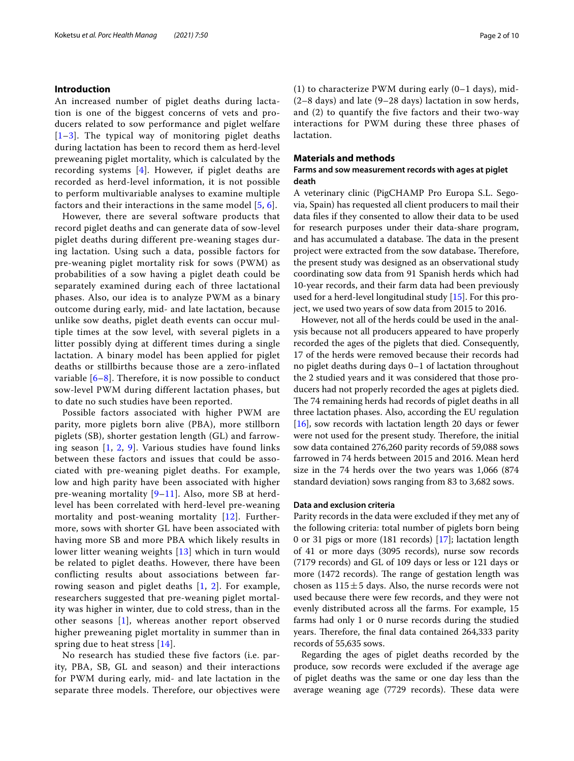# **Introduction**

An increased number of piglet deaths during lactation is one of the biggest concerns of vets and producers related to sow performance and piglet welfare  $[1-3]$  $[1-3]$  $[1-3]$ . The typical way of monitoring piglet deaths during lactation has been to record them as herd-level preweaning piglet mortality, which is calculated by the recording systems [\[4\]](#page-8-2). However, if piglet deaths are recorded as herd-level information, it is not possible to perform multivariable analyses to examine multiple factors and their interactions in the same model [[5](#page-8-3), [6](#page-8-4)].

However, there are several software products that record piglet deaths and can generate data of sow-level piglet deaths during different pre-weaning stages during lactation. Using such a data, possible factors for pre-weaning piglet mortality risk for sows (PWM) as probabilities of a sow having a piglet death could be separately examined during each of three lactational phases. Also, our idea is to analyze PWM as a binary outcome during early, mid- and late lactation, because unlike sow deaths, piglet death events can occur multiple times at the sow level, with several piglets in a litter possibly dying at different times during a single lactation. A binary model has been applied for piglet deaths or stillbirths because those are a zero-inflated variable  $[6-8]$  $[6-8]$ . Therefore, it is now possible to conduct sow-level PWM during different lactation phases, but to date no such studies have been reported.

Possible factors associated with higher PWM are parity, more piglets born alive (PBA), more stillborn piglets (SB), shorter gestation length (GL) and farrowing season [[1,](#page-8-0) [2](#page-8-6), [9\]](#page-8-7). Various studies have found links between these factors and issues that could be associated with pre-weaning piglet deaths. For example, low and high parity have been associated with higher pre-weaning mortality [[9](#page-8-7)–[11](#page-8-8)]. Also, more SB at herdlevel has been correlated with herd-level pre-weaning mortality and post-weaning mortality [[12\]](#page-8-9). Furthermore, sows with shorter GL have been associated with having more SB and more PBA which likely results in lower litter weaning weights [[13\]](#page-9-0) which in turn would be related to piglet deaths. However, there have been conflicting results about associations between farrowing season and piglet deaths [\[1](#page-8-0), [2](#page-8-6)]. For example, researchers suggested that pre-weaning piglet mortality was higher in winter, due to cold stress, than in the other seasons [[1\]](#page-8-0), whereas another report observed higher preweaning piglet mortality in summer than in spring due to heat stress [\[14](#page-9-1)].

No research has studied these five factors (i.e. parity, PBA, SB, GL and season) and their interactions for PWM during early, mid- and late lactation in the separate three models. Therefore, our objectives were (1) to characterize PWM during early (0–1 days), mid- (2–8 days) and late (9–28 days) lactation in sow herds, and (2) to quantify the five factors and their two-way interactions for PWM during these three phases of lactation.

# **Materials and methods**

# **Farms and sow measurement records with ages at piglet death**

A veterinary clinic (PigCHAMP Pro Europa S.L. Segovia, Spain) has requested all client producers to mail their data fles if they consented to allow their data to be used for research purposes under their data-share program, and has accumulated a database. The data in the present project were extracted from the sow database. Therefore, the present study was designed as an observational study coordinating sow data from 91 Spanish herds which had 10-year records, and their farm data had been previously used for a herd-level longitudinal study [[15\]](#page-9-2). For this project, we used two years of sow data from 2015 to 2016.

However, not all of the herds could be used in the analysis because not all producers appeared to have properly recorded the ages of the piglets that died. Consequently, 17 of the herds were removed because their records had no piglet deaths during days 0–1 of lactation throughout the 2 studied years and it was considered that those producers had not properly recorded the ages at piglets died. The 74 remaining herds had records of piglet deaths in all three lactation phases. Also, according the EU regulation [[16\]](#page-9-3), sow records with lactation length 20 days or fewer were not used for the present study. Therefore, the initial sow data contained 276,260 parity records of 59,088 sows farrowed in 74 herds between 2015 and 2016. Mean herd size in the 74 herds over the two years was 1,066 (874 standard deviation) sows ranging from 83 to 3,682 sows.

## **Data and exclusion criteria**

Parity records in the data were excluded if they met any of the following criteria: total number of piglets born being 0 or 31 pigs or more (181 records) [\[17](#page-9-4)]; lactation length of 41 or more days (3095 records), nurse sow records (7179 records) and GL of 109 days or less or 121 days or more (1472 records). The range of gestation length was chosen as  $115±5$  days. Also, the nurse records were not used because there were few records, and they were not evenly distributed across all the farms. For example, 15 farms had only 1 or 0 nurse records during the studied years. Therefore, the final data contained 264,333 parity records of 55,635 sows.

Regarding the ages of piglet deaths recorded by the produce, sow records were excluded if the average age of piglet deaths was the same or one day less than the average weaning age (7729 records). These data were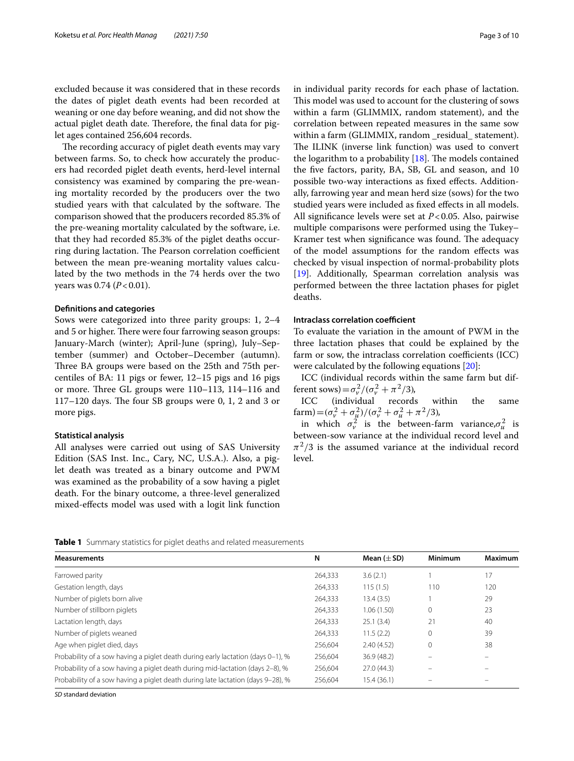excluded because it was considered that in these records the dates of piglet death events had been recorded at weaning or one day before weaning, and did not show the actual piglet death date. Therefore, the final data for piglet ages contained 256,604 records.

The recording accuracy of piglet death events may vary between farms. So, to check how accurately the producers had recorded piglet death events, herd-level internal consistency was examined by comparing the pre-weaning mortality recorded by the producers over the two studied years with that calculated by the software. The comparison showed that the producers recorded 85.3% of the pre-weaning mortality calculated by the software, i.e. that they had recorded 85.3% of the piglet deaths occurring during lactation. The Pearson correlation coefficient between the mean pre-weaning mortality values calculated by the two methods in the 74 herds over the two years was 0.74 (*P*<0.01).

#### **Defnitions and categories**

Sows were categorized into three parity groups: 1, 2–4 and 5 or higher. There were four farrowing season groups: January-March (winter); April-June (spring), July–September (summer) and October–December (autumn). Three BA groups were based on the 25th and 75th percentiles of BA: 11 pigs or fewer, 12–15 pigs and 16 pigs or more. Three GL groups were 110-113, 114-116 and  $117-120$  days. The four SB groups were 0, 1, 2 and 3 or more pigs.

#### **Statistical analysis**

All analyses were carried out using of SAS University Edition (SAS Inst. Inc., Cary, NC, U.S.A.). Also, a piglet death was treated as a binary outcome and PWM was examined as the probability of a sow having a piglet death. For the binary outcome, a three-level generalized mixed-efects model was used with a logit link function in individual parity records for each phase of lactation. This model was used to account for the clustering of sows within a farm (GLIMMIX, random statement), and the correlation between repeated measures in the same sow within a farm (GLIMMIX, random \_residual\_ statement). The ILINK (inverse link function) was used to convert the logarithm to a probability  $[18]$  $[18]$  $[18]$ . The models contained the fve factors, parity, BA, SB, GL and season, and 10 possible two-way interactions as fxed efects. Additionally, farrowing year and mean herd size (sows) for the two studied years were included as fxed efects in all models. All signifcance levels were set at *P*<0.05. Also, pairwise multiple comparisons were performed using the Tukey– Kramer test when significance was found. The adequacy of the model assumptions for the random efects was checked by visual inspection of normal-probability plots [[19\]](#page-9-6). Additionally, Spearman correlation analysis was performed between the three lactation phases for piglet deaths.

# **Intraclass correlation coefficient**

To evaluate the variation in the amount of PWM in the three lactation phases that could be explained by the farm or sow, the intraclass correlation coefficients (ICC) were calculated by the following equations [\[20](#page-9-7)]:

ICC (individual records within the same farm but different sows) =  $\sigma_{\nu}^2/(\sigma_{\nu}^2 + \pi^2/3)$ ,

ICC (individual records within the same farm) =  $(\sigma_v^2 + \sigma_u^2)/(\sigma_v^2 + \sigma_u^2 + \pi^2/3)$ ,

in which  $\sigma_{\nu}^{2}$  is the between-farm variance,  $\sigma_{\mu}^{2}$  is between-sow variance at the individual record level and  $\pi^2/3$  is the assumed variance at the individual record level.

<span id="page-2-0"></span>**Table 1** Summary statistics for piglet deaths and related measurements

| <b>Measurements</b>                                                             | N       | Mean $(\pm SD)$ | <b>Minimum</b> | <b>Maximum</b> |
|---------------------------------------------------------------------------------|---------|-----------------|----------------|----------------|
| Farrowed parity                                                                 | 264,333 | 3.6(2.1)        |                | 17             |
| Gestation length, days                                                          | 264,333 | 115(1.5)        | 110            | 120            |
| Number of piglets born alive                                                    | 264,333 | 13.4(3.5)       |                | 29             |
| Number of stillborn piglets                                                     | 264,333 | 1.06(1.50)      | $\mathbf 0$    | 23             |
| Lactation length, days                                                          | 264,333 | 25.1(3.4)       | 21             | 40             |
| Number of piglets weaned                                                        | 264,333 | 11.5(2.2)       | $\Omega$       | 39             |
| Age when piglet died, days                                                      | 256.604 | 2.40(4.52)      | $\mathbf{0}$   | 38             |
| Probability of a sow having a piglet death during early lactation (days 0-1), % | 256,604 | 36.9(48.2)      |                |                |
| Probability of a sow having a piglet death during mid-lactation (days 2-8), %   | 256,604 | 27.0 (44.3)     |                |                |
| Probability of a sow having a piglet death during late lactation (days 9–28), % | 256.604 | 15.4 (36.1)     |                |                |

*SD* standard deviation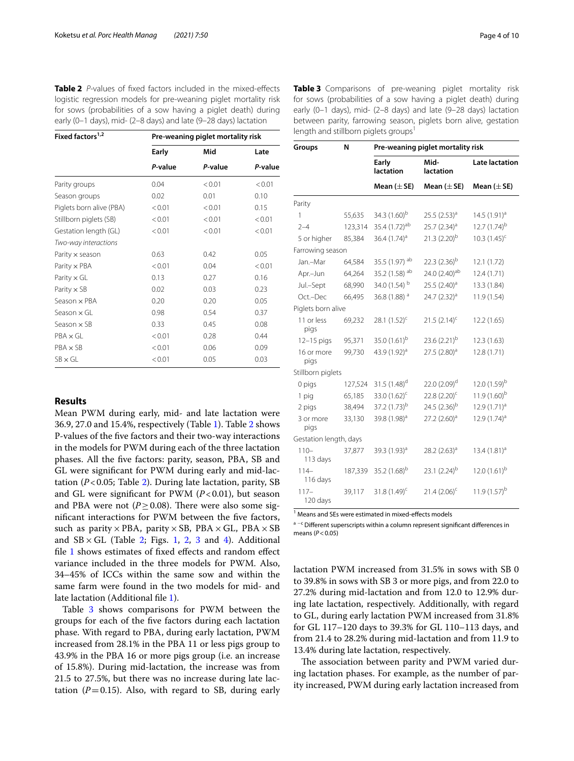<span id="page-3-0"></span>

| <b>Table 2</b> <i>P</i> -values of fixed factors included in the mixed-effects |
|--------------------------------------------------------------------------------|
| logistic regression models for pre-weaning piglet mortality risk               |
| for sows (probabilities of a sow having a piglet death) during                 |
| early (0–1 days), mid- (2–8 days) and late (9–28 days) lactation               |

| Fixed factors <sup>1,2</sup> | Pre-weaning piglet mortality risk |         |         |  |
|------------------------------|-----------------------------------|---------|---------|--|
|                              | Early                             | Mid     | Late    |  |
|                              | P-value                           | P-value | P-value |  |
| Parity groups                | 0.04                              | < 0.01  | < 0.01  |  |
| Season groups                | 0.02                              | 0.01    | 0.10    |  |
| Piglets born alive (PBA)     | < 0.01                            | < 0.01  | 0.15    |  |
| Stillborn piglets (SB)       | < 0.01                            | < 0.01  | < 0.01  |  |
| Gestation length (GL)        | < 0.01                            | < 0.01  | < 0.01  |  |
| Two-way interactions         |                                   |         |         |  |
| Parity x season              | 0.63                              | 0.42    | 0.05    |  |
| Parity $\times$ PBA          | < 0.01                            | 0.04    | < 0.01  |  |
| Parity $\times$ GL           | 0.13                              | 0.27    | 0.16    |  |
| Parity $\times$ SB           | 0.02                              | 0.03    | 0.23    |  |
| Season x PBA                 | 0.20                              | 0.20    | 0.05    |  |
| Season x Gl                  | 0.98                              | 0.54    | 0.37    |  |
| Season x SB                  | 0.33                              | 0.45    | 0.08    |  |
| $PBA \times GL$              | < 0.01                            | 0.28    | 0.44    |  |
| $PBA \times SB$              | < 0.01                            | 0.06    | 0.09    |  |
| $SB \times GI$               | < 0.01                            | 0.05    | 0.03    |  |
|                              |                                   |         |         |  |

# **Results**

Mean PWM during early, mid- and late lactation were 36.9, 27.0 and 15.4%, respectively (Table [1](#page-2-0)). Table [2](#page-3-0) shows P-values of the fve factors and their two-way interactions in the models for PWM during each of the three lactation phases. All the fve factors: parity, season, PBA, SB and GL were signifcant for PWM during early and mid-lactation (*P*<0.05; Table [2](#page-3-0)). During late lactation, parity, SB and GL were significant for PWM  $(P<0.01)$ , but season and PBA were not ( $P \ge 0.08$ ). There were also some signifcant interactions for PWM between the fve factors, such as parity  $\times$  PBA, parity  $\times$  SB, PBA  $\times$  GL, PBA  $\times$  SB and  $SB \times GL$  (Table [2;](#page-3-0) Figs. [1,](#page-4-0) [2](#page-4-1), [3](#page-5-0) and [4](#page-6-0)). Additional fle [1](#page-8-10) shows estimates of fxed efects and random efect variance included in the three models for PWM. Also, 34–45% of ICCs within the same sow and within the same farm were found in the two models for mid- and late lactation (Additional file [1](#page-8-10)).

Table [3](#page-3-1) shows comparisons for PWM between the groups for each of the fve factors during each lactation phase. With regard to PBA, during early lactation, PWM increased from 28.1% in the PBA 11 or less pigs group to 43.9% in the PBA 16 or more pigs group (i.e. an increase of 15.8%). During mid-lactation, the increase was from 21.5 to 27.5%, but there was no increase during late lactation  $(P=0.15)$ . Also, with regard to SB, during early

<span id="page-3-1"></span>**Table 3** Comparisons of pre-weaning piglet mortality risk for sows (probabilities of a sow having a piglet death) during early (0–1 days), mid- (2–8 days) and late (9–28 days) lactation between parity, farrowing season, piglets born alive, gestation length and stillborn piglets groups<sup>1</sup>

| Groups                 | N       | Pre-weaning piglet mortality risk |                            |                       |  |
|------------------------|---------|-----------------------------------|----------------------------|-----------------------|--|
|                        |         | Early<br>lactation                | Mid-<br>lactation          | <b>Late lactation</b> |  |
|                        |         | Mean $(\pm$ SE)                   | Mean $(\pm$ SE)            | Mean $(\pm$ SE)       |  |
| Parity                 |         |                                   |                            |                       |  |
| 1                      | 55,635  | 34.3 (1.60) <sup>b</sup>          | 25.5 $(2.53)^a$            | 14.5 $(1.91)^a$       |  |
| $2 - 4$                | 123,314 | 35.4 (1.72) <sup>ab</sup>         | 25.7 (2.34) <sup>a</sup>   | $12.7(1.74)^{b}$      |  |
| 5 or higher            | 85,384  | 36.4 $(1.74)^a$                   | $21.3(2.20)^{b}$           | $10.3(1.45)^{c}$      |  |
| Farrowing season       |         |                                   |                            |                       |  |
| Jan.-Mar               | 64,584  | 35.5 (1.97) ab                    | 22.3 $(2.36)^{b}$          | 12.1 (1.72)           |  |
| Apr.-Jun               | 64,264  | 35.2 (1.58) ab                    | 24.0 (2.40) <sup>ab</sup>  | 12.4(1.71)            |  |
| Jul.-Sept              | 68,990  | 34.0 (1.54) b                     | 25.5 $(2.40)^a$            | 13.3 (1.84)           |  |
| Oct.-Dec               | 66,495  | 36.8 (1.88) <sup>a</sup>          | 24.7 $(2.32)^a$            | 11.9 (1.54)           |  |
| Piglets born alive     |         |                                   |                            |                       |  |
| 11 or less<br>pigs     | 69,232  | 28.1 $(1.52)^c$                   | $21.5(2.14)^c$             | 12.2(1.65)            |  |
| $12 - 15$ pigs         | 95,371  | 35.0 $(1.61)^{b}$                 | 23.6 $(2.21)^{b}$          | 12.3 (1.63)           |  |
| 16 or more<br>pigs     | 99,730  | 43.9 (1.92) <sup>a</sup>          | $27.5(2.80)^{a}$           | 12.8 (1.71)           |  |
| Stillborn piglets      |         |                                   |                            |                       |  |
| 0 pigs                 | 127,524 | 31.5 $(1.48)^d$                   | 22.0 (2.09) <sup>d</sup>   | 12.0 $(1.59)^{b}$     |  |
| 1 pig                  | 65,185  | 33.0 (1.62) <sup>c</sup>          | $22.8(2.20)$ <sup>c</sup>  | $11.9(1.60)^{b}$      |  |
| 2 pigs                 | 38,494  | 37.2 (1.73) <sup>b</sup>          | 24.5 $(2.36)^{b}$          | $12.9(1.71)^{a}$      |  |
| 3 or more<br>pigs      | 33,130  | 39.8 (1.98) <sup>a</sup>          | $27.2$ (2.60) <sup>a</sup> | 12.9 $(1.74)^a$       |  |
| Gestation length, days |         |                                   |                            |                       |  |
| $110 -$<br>113 days    | 37,877  | 39.3 (1.93) <sup>a</sup>          | 28.2 $(2.63)^a$            | 13.4 $(1.81)^a$       |  |
| $114-$<br>116 days     | 187,339 | 35.2 (1.68) <sup>b</sup>          | 23.1 $(2.24)^{b}$          | 12.0 $(1.61)^{b}$     |  |
| $117-$<br>120 days     | 39,117  | $31.8(1.49)^c$                    | $21.4(2.06)^c$             | $11.9(1.57)^{b}$      |  |

<sup>1</sup> Means and SEs were estimated in mixed-effects models

<sup>a -c</sup> Different superscripts within a column represent significant differences in means (*P*<0.05)

lactation PWM increased from 31.5% in sows with SB 0 to 39.8% in sows with SB 3 or more pigs, and from 22.0 to 27.2% during mid-lactation and from 12.0 to 12.9% during late lactation, respectively. Additionally, with regard to GL, during early lactation PWM increased from 31.8% for GL 117–120 days to 39.3% for GL 110–113 days, and from 21.4 to 28.2% during mid-lactation and from 11.9 to 13.4% during late lactation, respectively.

The association between parity and PWM varied during lactation phases. For example, as the number of parity increased, PWM during early lactation increased from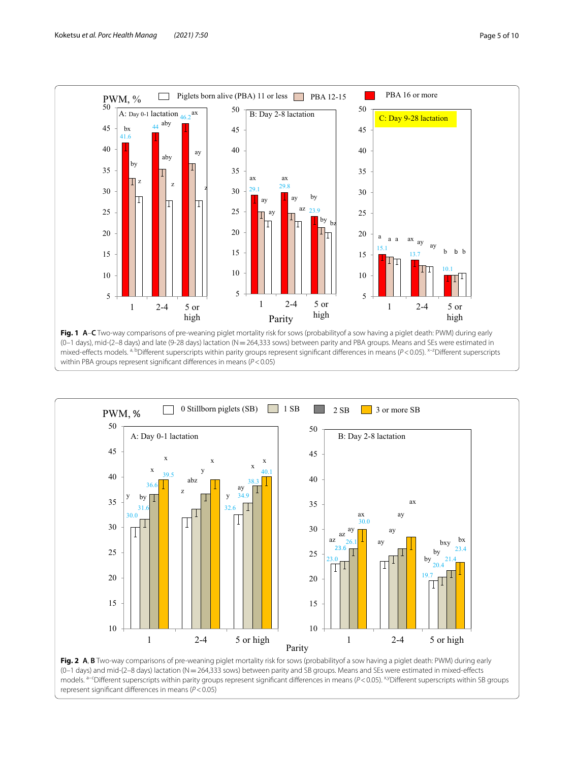

<span id="page-4-0"></span>within PBA groups represent signifcant diferences in means (*P*<0.05)



<span id="page-4-1"></span>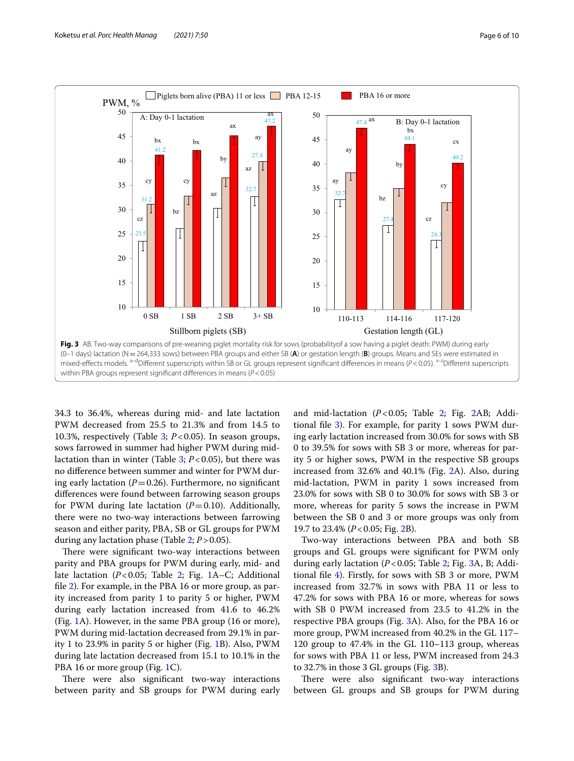

<span id="page-5-0"></span>34.3 to 36.4%, whereas during mid- and late lactation PWM decreased from 25.5 to 21.3% and from 14.5 to 10.3%, respectively (Table [3;](#page-3-1) *P*<0.05). In season groups, sows farrowed in summer had higher PWM during midlactation than in winter (Table [3;](#page-3-1) *P*<0.05), but there was no diference between summer and winter for PWM during early lactation  $(P=0.26)$ . Furthermore, no significant diferences were found between farrowing season groups for PWM during late lactation  $(P=0.10)$ . Additionally, there were no two-way interactions between farrowing season and either parity, PBA, SB or GL groups for PWM during any lactation phase (Table [2;](#page-3-0) *P*>0.05).

There were significant two-way interactions between parity and PBA groups for PWM during early, mid- and late lactation (*P*<0.05; Table [2;](#page-3-0) Fig. [1](#page-4-0)A–C; Additional fle [2](#page-8-11)). For example, in the PBA 16 or more group, as parity increased from parity 1 to parity 5 or higher, PWM during early lactation increased from 41.6 to 46.2% (Fig. [1](#page-4-0)A). However, in the same PBA group (16 or more), PWM during mid-lactation decreased from 29.1% in parity 1 to 23.9% in parity 5 or higher (Fig. [1B](#page-4-0)). Also, PWM during late lactation decreased from 15.1 to 10.1% in the PBA [1](#page-4-0)6 or more group (Fig. 1C).

There were also significant two-way interactions between parity and SB groups for PWM during early and mid-lactation (*P*<0.05; Table [2;](#page-3-0) Fig. [2](#page-4-1)AB; Additional fle [3](#page-8-12)). For example, for parity 1 sows PWM during early lactation increased from 30.0% for sows with SB 0 to 39.5% for sows with SB 3 or more, whereas for parity 5 or higher sows, PWM in the respective SB groups increased from 32.6% and 40.1% (Fig. [2](#page-4-1)A). Also, during mid-lactation, PWM in parity 1 sows increased from 23.0% for sows with SB 0 to 30.0% for sows with SB 3 or more, whereas for parity 5 sows the increase in PWM between the SB 0 and 3 or more groups was only from 19.7 to 23.4% (*P*<0.05; Fig. [2B](#page-4-1)).

Two-way interactions between PBA and both SB groups and GL groups were signifcant for PWM only during early lactation (*P*<0.05; Table [2](#page-3-0); Fig. [3A](#page-5-0), B; Additional fle [4](#page-8-13)). Firstly, for sows with SB 3 or more, PWM increased from 32.7% in sows with PBA 11 or less to 47.2% for sows with PBA 16 or more, whereas for sows with SB 0 PWM increased from 23.5 to 41.2% in the respective PBA groups (Fig. [3A](#page-5-0)). Also, for the PBA 16 or more group, PWM increased from 40.2% in the GL 117– 120 group to 47.4% in the GL 110–113 group, whereas for sows with PBA 11 or less, PWM increased from 24.3 to 32.7% in those 3 GL groups (Fig. [3](#page-5-0)B).

There were also significant two-way interactions between GL groups and SB groups for PWM during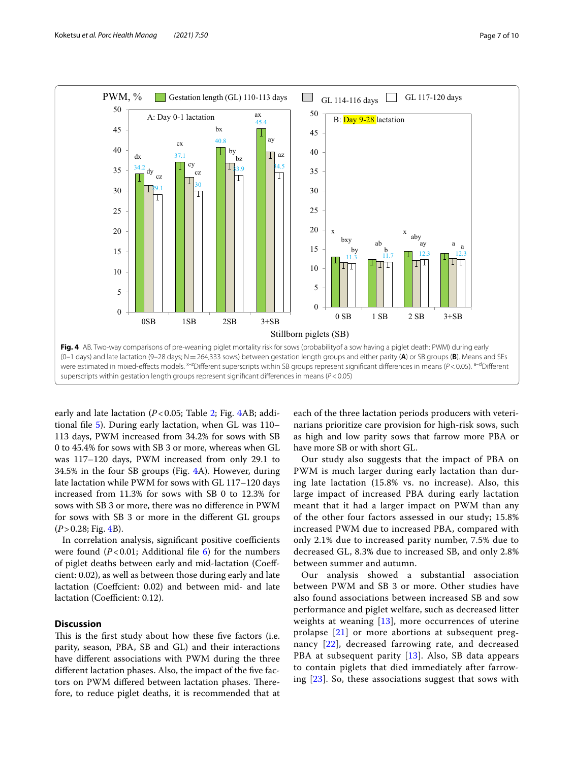

<span id="page-6-0"></span>early and late lactation (*P*<0.05; Table [2](#page-3-0); Fig. [4](#page-6-0)AB; additional fle [5](#page-8-14)). During early lactation, when GL was 110– 113 days, PWM increased from 34.2% for sows with SB 0 to 45.4% for sows with SB 3 or more, whereas when GL was 117–120 days, PWM increased from only 29.1 to 34.5% in the four SB groups (Fig. [4](#page-6-0)A). However, during late lactation while PWM for sows with GL 117–120 days increased from 11.3% for sows with SB 0 to 12.3% for sows with SB 3 or more, there was no diference in PWM for sows with SB 3 or more in the diferent GL groups (*P*>0.28; Fig. [4B](#page-6-0)).

In correlation analysis, significant positive coefficients were found  $(P<0.01$ ; Additional file  $6$ ) for the numbers of piglet deaths between early and mid-lactation (Coefcient: 0.02), as well as between those during early and late lactation (Coefcient: 0.02) and between mid- and late lactation (Coefficient: 0.12).

# **Discussion**

This is the first study about how these five factors (i.e. parity, season, PBA, SB and GL) and their interactions have diferent associations with PWM during the three diferent lactation phases. Also, the impact of the fve factors on PWM differed between lactation phases. Therefore, to reduce piglet deaths, it is recommended that at

each of the three lactation periods producers with veterinarians prioritize care provision for high-risk sows, such as high and low parity sows that farrow more PBA or have more SB or with short GL.

Our study also suggests that the impact of PBA on PWM is much larger during early lactation than during late lactation (15.8% vs. no increase). Also, this large impact of increased PBA during early lactation meant that it had a larger impact on PWM than any of the other four factors assessed in our study; 15.8% increased PWM due to increased PBA, compared with only 2.1% due to increased parity number, 7.5% due to decreased GL, 8.3% due to increased SB, and only 2.8% between summer and autumn.

Our analysis showed a substantial association between PWM and SB 3 or more. Other studies have also found associations between increased SB and sow performance and piglet welfare, such as decreased litter weights at weaning [\[13](#page-9-0)], more occurrences of uterine prolapse [\[21\]](#page-9-8) or more abortions at subsequent pregnancy [\[22](#page-9-9)], decreased farrowing rate, and decreased PBA at subsequent parity  $[13]$  $[13]$ . Also, SB data appears to contain piglets that died immediately after farrowing [[23\]](#page-9-10). So, these associations suggest that sows with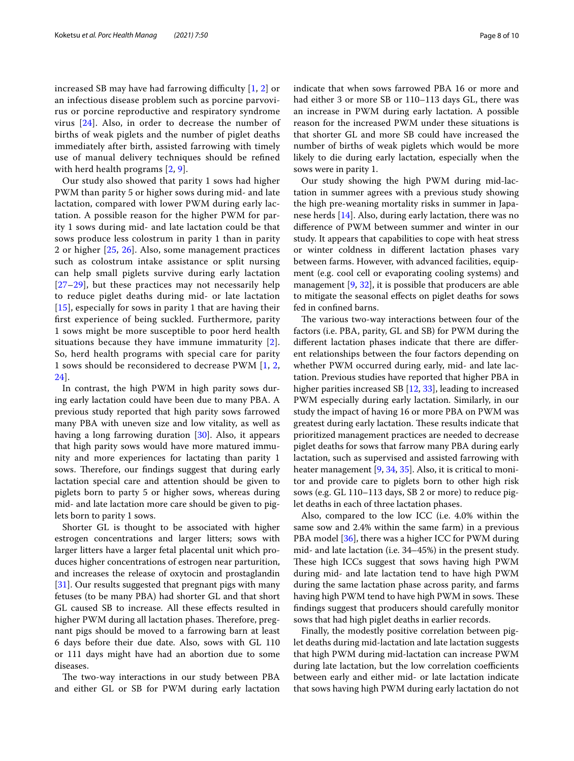increased SB may have had farrowing difficulty  $[1, 2]$  $[1, 2]$  $[1, 2]$  or an infectious disease problem such as porcine parvovirus or porcine reproductive and respiratory syndrome virus [[24\]](#page-9-11). Also, in order to decrease the number of births of weak piglets and the number of piglet deaths immediately after birth, assisted farrowing with timely use of manual delivery techniques should be refned with herd health programs [[2,](#page-8-6) [9\]](#page-8-7).

Our study also showed that parity 1 sows had higher PWM than parity 5 or higher sows during mid- and late lactation, compared with lower PWM during early lactation. A possible reason for the higher PWM for parity 1 sows during mid- and late lactation could be that sows produce less colostrum in parity 1 than in parity 2 or higher [[25,](#page-9-12) [26\]](#page-9-13). Also, some management practices such as colostrum intake assistance or split nursing can help small piglets survive during early lactation [[27](#page-9-14)[–29](#page-9-15)], but these practices may not necessarily help to reduce piglet deaths during mid- or late lactation [[15](#page-9-2)], especially for sows in parity 1 that are having their frst experience of being suckled. Furthermore, parity 1 sows might be more susceptible to poor herd health situations because they have immune immaturity [[2\]](#page-8-6). So, herd health programs with special care for parity 1 sows should be reconsidered to decrease PWM [[1,](#page-8-0) [2](#page-8-6), [24\]](#page-9-11).

In contrast, the high PWM in high parity sows during early lactation could have been due to many PBA. A previous study reported that high parity sows farrowed many PBA with uneven size and low vitality, as well as having a long farrowing duration [[30\]](#page-9-16). Also, it appears that high parity sows would have more matured immunity and more experiences for lactating than parity 1 sows. Therefore, our findings suggest that during early lactation special care and attention should be given to piglets born to party 5 or higher sows, whereas during mid- and late lactation more care should be given to piglets born to parity 1 sows.

Shorter GL is thought to be associated with higher estrogen concentrations and larger litters; sows with larger litters have a larger fetal placental unit which produces higher concentrations of estrogen near parturition, and increases the release of oxytocin and prostaglandin [[31\]](#page-9-17). Our results suggested that pregnant pigs with many fetuses (to be many PBA) had shorter GL and that short GL caused SB to increase. All these efects resulted in higher PWM during all lactation phases. Therefore, pregnant pigs should be moved to a farrowing barn at least 6 days before their due date. Also, sows with GL 110 or 111 days might have had an abortion due to some diseases.

The two-way interactions in our study between PBA and either GL or SB for PWM during early lactation indicate that when sows farrowed PBA 16 or more and had either 3 or more SB or 110–113 days GL, there was an increase in PWM during early lactation. A possible reason for the increased PWM under these situations is that shorter GL and more SB could have increased the number of births of weak piglets which would be more likely to die during early lactation, especially when the

sows were in parity 1. Our study showing the high PWM during mid-lactation in summer agrees with a previous study showing the high pre-weaning mortality risks in summer in Japanese herds [[14](#page-9-1)]. Also, during early lactation, there was no diference of PWM between summer and winter in our study. It appears that capabilities to cope with heat stress or winter coldness in diferent lactation phases vary between farms. However, with advanced facilities, equipment (e.g. cool cell or evaporating cooling systems) and management [[9](#page-8-7), [32](#page-9-18)], it is possible that producers are able to mitigate the seasonal efects on piglet deaths for sows fed in confned barns.

The various two-way interactions between four of the factors (i.e. PBA, parity, GL and SB) for PWM during the diferent lactation phases indicate that there are diferent relationships between the four factors depending on whether PWM occurred during early, mid- and late lactation. Previous studies have reported that higher PBA in higher parities increased SB [\[12](#page-8-9), [33\]](#page-9-19), leading to increased PWM especially during early lactation. Similarly, in our study the impact of having 16 or more PBA on PWM was greatest during early lactation. These results indicate that prioritized management practices are needed to decrease piglet deaths for sows that farrow many PBA during early lactation, such as supervised and assisted farrowing with heater management [\[9](#page-8-7), [34](#page-9-20), [35\]](#page-9-21). Also, it is critical to monitor and provide care to piglets born to other high risk sows (e.g. GL 110–113 days, SB 2 or more) to reduce piglet deaths in each of three lactation phases.

Also, compared to the low ICC (i.e. 4.0% within the same sow and 2.4% within the same farm) in a previous PBA model [[36\]](#page-9-22), there was a higher ICC for PWM during mid- and late lactation (i.e. 34–45%) in the present study. These high ICCs suggest that sows having high PWM during mid- and late lactation tend to have high PWM during the same lactation phase across parity, and farms having high PWM tend to have high PWM in sows. These fndings suggest that producers should carefully monitor sows that had high piglet deaths in earlier records.

Finally, the modestly positive correlation between piglet deaths during mid-lactation and late lactation suggests that high PWM during mid-lactation can increase PWM during late lactation, but the low correlation coefficients between early and either mid- or late lactation indicate that sows having high PWM during early lactation do not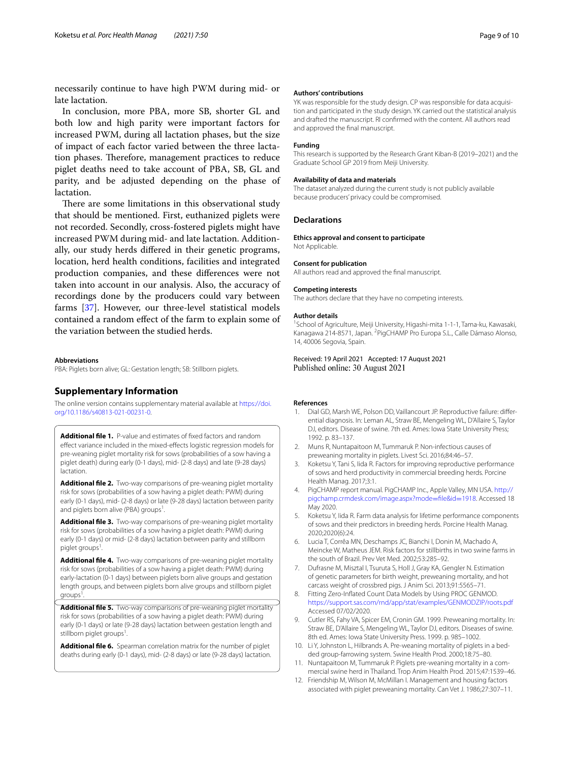necessarily continue to have high PWM during mid- or late lactation.

In conclusion, more PBA, more SB, shorter GL and both low and high parity were important factors for increased PWM, during all lactation phases, but the size of impact of each factor varied between the three lactation phases. Therefore, management practices to reduce piglet deaths need to take account of PBA, SB, GL and parity, and be adjusted depending on the phase of lactation.

There are some limitations in this observational study that should be mentioned. First, euthanized piglets were not recorded. Secondly, cross-fostered piglets might have increased PWM during mid- and late lactation. Additionally, our study herds difered in their genetic programs, location, herd health conditions, facilities and integrated production companies, and these diferences were not taken into account in our analysis. Also, the accuracy of recordings done by the producers could vary between farms [[37\]](#page-9-23). However, our three-level statistical models contained a random efect of the farm to explain some of the variation between the studied herds.

#### **Abbreviations**

PBA: Piglets born alive; GL: Gestation length; SB: Stillborn piglets.

# **Supplementary Information**

The online version contains supplementary material available at [https://doi.](https://doi.org/10.1186/s40813-021-00231-0) [org/10.1186/s40813-021-00231-0](https://doi.org/10.1186/s40813-021-00231-0).

<span id="page-8-10"></span>**Additional fle 1.** P-value and estimates of fxed factors and random efect variance included in the mixed-efects logistic regression models for pre-weaning piglet mortality risk for sows (probabilities of a sow having a piglet death) during early (0-1 days), mid- (2-8 days) and late (9-28 days) lactation.

<span id="page-8-11"></span>**Additional fle 2.** Two-way comparisons of pre-weaning piglet mortality risk for sows (probabilities of a sow having a piglet death: PWM) during early (0-1 days), mid- (2-8 days) or late (9-28 days) lactation between parity and piglets born alive (PBA) groups<sup>1</sup>. .

**Additional fle 3.** Two-way comparisons of pre-weaning piglet mortality risk for sows (probabilities of a sow having a piglet death: PWM) during early (0-1 days) or mid- (2-8 days) lactation between parity and stillborn piglet groups<sup>1</sup> .

<span id="page-8-13"></span>**Additional fle 4.** Two-way comparisons of pre-weaning piglet mortality risk for sows (probabilities of a sow having a piglet death: PWM) during early-lactation (0-1 days) between piglets born alive groups and gestation length groups, and between piglets born alive groups and stillborn piglet groups<sup>1</sup> .

<span id="page-8-14"></span>**Additional fle 5.** Two-way comparisons of pre-weaning piglet mortality risk for sows (probabilities of a sow having a piglet death: PWM) during early (0-1 days) or late (9-28 days) lactation between gestation length and stillborn piglet groups<sup>1</sup> .

**Additional fle 6.** Spearman correlation matrix for the number of piglet deaths during early (0-1 days), mid- (2-8 days) or late (9-28 days) lactation.

### **Authors' contributions**

YK was responsible for the study design. CP was responsible for data acquisition and participated in the study design. YK carried out the statistical analysis and drafted the manuscript. RI confrmed with the content. All authors read and approved the fnal manuscript.

#### **Funding**

This research is supported by the Research Grant Kiban-B (2019–2021) and the Graduate School GP 2019 from Meiji University.

#### **Availability of data and materials**

The dataset analyzed during the current study is not publicly available because producers' privacy could be compromised.

### **Declarations**

#### **Ethics approval and consent to participate** Not Applicable.

**Consent for publication**

All authors read and approved the fnal manuscript.

#### **Competing interests**

The authors declare that they have no competing interests.

#### **Author details**

<sup>1</sup> School of Agriculture, Meiji University, Higashi-mita 1-1-1, Tama-ku, Kawasaki, Kanagawa 214-8571, Japan. <sup>2</sup> PigCHAMP Pro Europa S.L., Calle Dámaso Alonso, 14, 40006 Segovia, Spain.

Received: 19 April 2021 Accepted: 17 August 2021 Published online: 30 August 2021

#### **References**

- <span id="page-8-0"></span>1. Dial GD, Marsh WE, Polson DD, Vaillancourt JP. Reproductive failure: diferential diagnosis. In: Leman AL, Straw BE, Mengeling WL, D'Allaire S, Taylor DJ, editors. Disease of swine. 7th ed. Ames: Iowa State University Press; 1992. p. 83–137.
- <span id="page-8-6"></span>2. Muns R, Nuntapaitoon M, Tummaruk P. Non-infectious causes of preweaning mortality in piglets. Livest Sci. 2016;84:46–57.
- <span id="page-8-1"></span>3. Koketsu Y, Tani S, Iida R. Factors for improving reproductive performance of sows and herd productivity in commercial breeding herds. Porcine Health Manag. 2017;3:1.
- <span id="page-8-2"></span>4. PigCHAMP report manual. PigCHAMP Inc., Apple Valley, MN USA. [http://](http://pigchamp.crmdesk.com/image.aspx?mode=file&id=1918) [pigchamp.crmdesk.com/image.aspx?mode](http://pigchamp.crmdesk.com/image.aspx?mode=file&id=1918)=fle&id=1918. Accessed 18 May 2020.
- <span id="page-8-12"></span><span id="page-8-3"></span>5. Koketsu Y, Iida R. Farm data analysis for lifetime performance components of sows and their predictors in breeding herds. Porcine Health Manag. 2020;2020(6):24.
- <span id="page-8-4"></span>6. Lucia T, Corrêa MN, Deschamps JC, Bianchi I, Donin M, Machado A, Meincke W, Matheus JEM. Risk factors for stillbirths in two swine farms in the south of Brazil. Prev Vet Med. 2002;53:285–92.
- 7. Dufrasne M, Misztal I, Tsuruta S, Holl J, Gray KA, Gengler N. Estimation of genetic parameters for birth weight, preweaning mortality, and hot carcass weight of crossbred pigs. J Anim Sci. 2013;91:5565–71.
- <span id="page-8-5"></span>8. Fitting Zero-Infated Count Data Models by Using PROC GENMOD. <https://support.sas.com/rnd/app/stat/examples/GENMODZIP/roots.pdf> Accessed 07/02/2020.
- <span id="page-8-7"></span>9. Cutler RS, Fahy VA, Spicer EM, Cronin GM. 1999. Preweaning mortality. In: Straw BE, D'Allaire S, Mengeling WL, Taylor DJ, editors. Diseases of swine. 8th ed. Ames: Iowa State University Press. 1999. p. 985–1002.
- <span id="page-8-15"></span>10. Li Y, Johnston L, Hilbrands A. Pre-weaning mortality of piglets in a bedded group-farrowing system. Swine Health Prod. 2000;18:75–80.
- <span id="page-8-8"></span>11. Nuntapaitoon M, Tummaruk P. Piglets pre-weaning mortality in a commercial swine herd in Thailand. Trop Anim Health Prod. 2015;47:1539–46.
- <span id="page-8-9"></span>12. Friendship M, Wilson M, McMillan I. Management and housing factors associated with piglet preweaning mortality. Can Vet J. 1986;27:307–11.